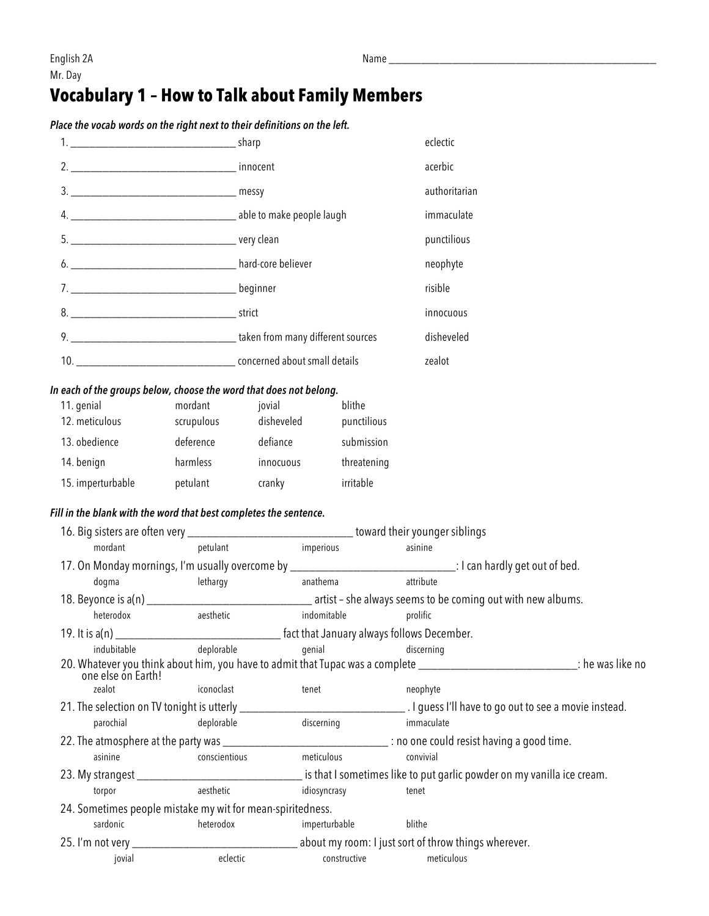## **Vocabulary 1 – How to Talk about Family Members**

*Place the vocab words on the right next to their definitions on the left.*

|  | eclectic      |
|--|---------------|
|  | acerbic       |
|  | authoritarian |
|  | immaculate    |
|  | punctilious   |
|  | neophyte      |
|  | risible       |
|  | innocuous     |
|  | disheveled    |
|  | zealot        |

## *In each of the groups below, choose the word that does not belong.*

| 11. genial        | mordant    | jovial     | blithe      |
|-------------------|------------|------------|-------------|
| 12. meticulous    | scrupulous | disheveled | punctilious |
| 13. obedience     | deference  | defiance   | submission  |
| 14. benign        | harmless   | innocuous  | threatening |
| 15. imperturbable | petulant   | cranky     | irritable   |

## *Fill in the blank with the word that best completes the sentence.*

|                                                            | 16. Big sisters are often very __________________________________toward their younger siblings |                             |                                                                                                                                |  |
|------------------------------------------------------------|------------------------------------------------------------------------------------------------|-----------------------------|--------------------------------------------------------------------------------------------------------------------------------|--|
| mordant                                                    | petulant                                                                                       | imperious                   | asinine                                                                                                                        |  |
|                                                            |                                                                                                |                             | 17. On Monday mornings, I'm usually overcome by ________________________________: I can hardly get out of bed.                 |  |
| dogma                                                      | lethargy anathema                                                                              |                             | attribute                                                                                                                      |  |
|                                                            |                                                                                                |                             |                                                                                                                                |  |
| heterodox                                                  | aesthetic                                                                                      | indomitable                 | prolific                                                                                                                       |  |
|                                                            |                                                                                                |                             |                                                                                                                                |  |
| indubitable                                                | deplorable                                                                                     | genial<br><b>discerning</b> |                                                                                                                                |  |
| one else ón Earth!                                         |                                                                                                |                             | 20. Whatever you think about him, you have to admit that Tupac was a complete ________________________________: he was like no |  |
| zealot<br><b>Example 2</b> iconoclast                      |                                                                                                | tenet                       | neophyte                                                                                                                       |  |
|                                                            |                                                                                                |                             |                                                                                                                                |  |
| parochial                                                  | deplorable                                                                                     | discerning                  | immaculate                                                                                                                     |  |
|                                                            |                                                                                                |                             | 22. The atmosphere at the party was ________________________________ : no one could resist having a good time.                 |  |
| asinine                                                    | conscientious                                                                                  | meticulous                  | convivial                                                                                                                      |  |
|                                                            |                                                                                                |                             |                                                                                                                                |  |
| torpor                                                     | aesthetic                                                                                      | idiosyncrasy                | tenet                                                                                                                          |  |
| 24. Sometimes people mistake my wit for mean-spiritedness. |                                                                                                |                             |                                                                                                                                |  |
| sardonic                                                   | heterodox                                                                                      | imperturbable               | blithe                                                                                                                         |  |
|                                                            |                                                                                                |                             |                                                                                                                                |  |
| jovial                                                     | eclectic                                                                                       | constructive                | meticulous                                                                                                                     |  |